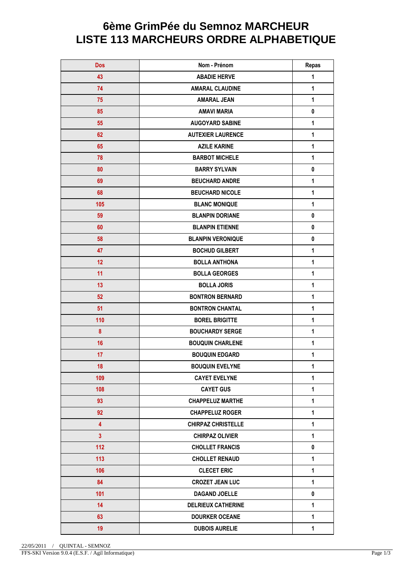## **6ème GrimPée du Semnoz MARCHEUR LISTE 113 MARCHEURS ORDRE ALPHABETIQUE**

| <b>Dos</b>              | Nom - Prénom              | <b>Repas</b> |
|-------------------------|---------------------------|--------------|
| 43                      | <b>ABADIE HERVE</b>       | 1            |
| 74                      | <b>AMARAL CLAUDINE</b>    | 1            |
| 75                      | <b>AMARAL JEAN</b>        | 1            |
| 85                      | <b>AMAVI MARIA</b>        | $\pmb{0}$    |
| 55                      | <b>AUGOYARD SABINE</b>    | 1            |
| 62                      | <b>AUTEXIER LAURENCE</b>  | $\mathbf{1}$ |
| 65                      | <b>AZILE KARINE</b>       | 1            |
| 78                      | <b>BARBOT MICHELE</b>     | 1            |
| 80                      | <b>BARRY SYLVAIN</b>      | $\pmb{0}$    |
| 69                      | <b>BEUCHARD ANDRE</b>     | 1            |
| 68                      | <b>BEUCHARD NICOLE</b>    | 1            |
| 105                     | <b>BLANC MONIQUE</b>      | 1            |
| 59                      | <b>BLANPIN DORIANE</b>    | $\pmb{0}$    |
| 60                      | <b>BLANPIN ETIENNE</b>    | $\pmb{0}$    |
| 58                      | <b>BLANPIN VERONIQUE</b>  | 0            |
| 47                      | <b>BOCHUD GILBERT</b>     | 1            |
| 12                      | <b>BOLLA ANTHONA</b>      | 1            |
| 11                      | <b>BOLLA GEORGES</b>      | 1            |
| 13                      | <b>BOLLA JORIS</b>        | $\mathbf 1$  |
| 52                      | <b>BONTRON BERNARD</b>    | 1            |
| 51                      | <b>BONTRON CHANTAL</b>    | $\mathbf{1}$ |
| 110                     | <b>BOREL BRIGITTE</b>     | 1            |
| 8                       | <b>BOUCHARDY SERGE</b>    | 1            |
| 16                      | <b>BOUQUIN CHARLENE</b>   | 1            |
| 17                      | <b>BOUQUIN EDGARD</b>     | 1            |
| 18                      | <b>BOUQUIN EVELYNE</b>    | 1            |
| 109                     | <b>CAYET EVELYNE</b>      | $\mathbf{1}$ |
| 108                     | <b>CAYET GUS</b>          | $\mathbf{1}$ |
| 93                      | <b>CHAPPELUZ MARTHE</b>   | 1            |
| 92                      | <b>CHAPPELUZ ROGER</b>    | 1            |
| $\overline{4}$          | <b>CHIRPAZ CHRISTELLE</b> | $\mathbf{1}$ |
| $\overline{\mathbf{3}}$ | <b>CHIRPAZ OLIVIER</b>    | $\mathbf{1}$ |
| 112                     | <b>CHOLLET FRANCIS</b>    | $\pmb{0}$    |
| 113                     | <b>CHOLLET RENAUD</b>     | 1            |
| 106                     | <b>CLECET ERIC</b>        | $\mathbf{1}$ |
| 84                      | <b>CROZET JEAN LUC</b>    | $\mathbf{1}$ |
| 101                     | <b>DAGAND JOELLE</b>      | 0            |
| 14                      | <b>DELRIEUX CATHERINE</b> | 1            |
| 63                      | <b>DOURKER OCEANE</b>     | 1            |
| 19                      | <b>DUBOIS AURELIE</b>     | $\mathbf{1}$ |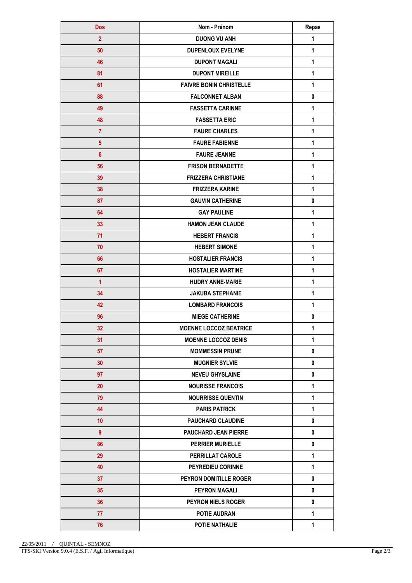| <b>Dos</b>              | Nom - Prénom                   | Repas        |
|-------------------------|--------------------------------|--------------|
| $\overline{2}$          | <b>DUONG VU ANH</b>            | 1            |
| 50                      | <b>DUPENLOUX EVELYNE</b>       | 1            |
| 46                      | <b>DUPONT MAGALI</b>           | 1            |
| 81                      | <b>DUPONT MIREILLE</b>         | 1            |
| 61                      | <b>FAIVRE BONIN CHRISTELLE</b> | 1            |
| 88                      | <b>FALCONNET ALBAN</b>         | 0            |
| 49                      | <b>FASSETTA CARINNE</b>        | 1            |
| 48                      | <b>FASSETTA ERIC</b>           | 1            |
| $\overline{7}$          | <b>FAURE CHARLES</b>           | 1            |
| $\overline{\mathbf{5}}$ | <b>FAURE FABIENNE</b>          | 1            |
| $6\phantom{1}$          | <b>FAURE JEANNE</b>            | 1            |
| 56                      | <b>FRISON BERNADETTE</b>       | 1            |
| 39                      | <b>FRIZZERA CHRISTIANE</b>     | 1            |
| 38                      | <b>FRIZZERA KARINE</b>         | 1            |
| 87                      | <b>GAUVIN CATHERINE</b>        | 0            |
| 64                      | <b>GAY PAULINE</b>             | 1            |
| 33                      | <b>HAMON JEAN CLAUDE</b>       | 1            |
| 71                      | <b>HEBERT FRANCIS</b>          | 1            |
| 70                      | <b>HEBERT SIMONE</b>           | 1            |
| 66                      | <b>HOSTALIER FRANCIS</b>       | 1            |
| 67                      | <b>HOSTALIER MARTINE</b>       | 1            |
| $\overline{1}$          | <b>HUDRY ANNE-MARIE</b>        | 1            |
| 34                      | <b>JAKUBA STEPHANIE</b>        | 1            |
| 42                      | <b>LOMBARD FRANCOIS</b>        | 1            |
| 96                      | <b>MIEGE CATHERINE</b>         | 0            |
| 32                      | <b>MOENNE LOCCOZ BEATRICE</b>  | 1            |
| 31                      | <b>MOENNE LOCCOZ DENIS</b>     | 1            |
| 57                      | <b>MOMMESSIN PRUNE</b>         | 0            |
| 30                      | <b>MUGNIER SYLVIE</b>          | 0            |
| 97                      | <b>NEVEU GHYSLAINE</b>         | 0            |
| 20                      | <b>NOURISSE FRANCOIS</b>       | 1            |
| 79                      | <b>NOURRISSE QUENTIN</b>       | $\mathbf{1}$ |
| 44                      | <b>PARIS PATRICK</b>           | $\mathbf{1}$ |
| 10                      | <b>PAUCHARD CLAUDINE</b>       | 0            |
| 9                       | <b>PAUCHARD JEAN PIERRE</b>    | 0            |
| 86                      | <b>PERRIER MURIELLE</b>        | 0            |
| 29                      | PERRILLAT CAROLE               | $\mathbf{1}$ |
| 40                      | PEYREDIEU CORINNE              | $\mathbf{1}$ |
| 37                      | PEYRON DOMITILLE ROGER         | 0            |
| 35                      | <b>PEYRON MAGALI</b>           | 0            |
| 36                      | PEYRON NIELS ROGER             | 0            |
| 77                      | <b>POTIE AUDRAN</b>            | $\mathbf{1}$ |
| 76                      | POTIE NATHALIE                 | $\mathbf{1}$ |
|                         |                                |              |